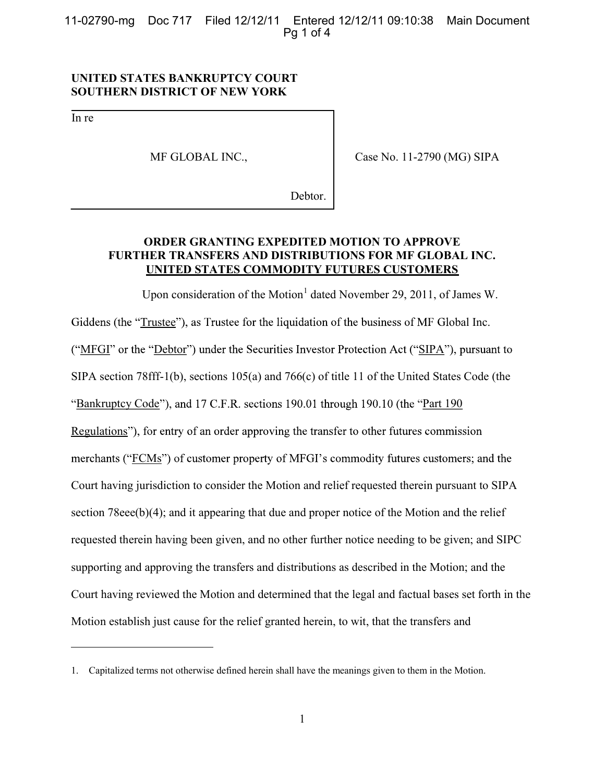11-02790-mg Doc 717 Filed 12/12/11 Entered 12/12/11 09:10:38 Main Document Pq 1 of 4

### **UNITED STATES BANKRUPTCY COURT SOUTHERN DISTRICT OF NEW YORK**

In re

 $\overline{a}$ 

MF GLOBAL INC.,

Case No. 11-2790 (MG) SIPA

Debtor.

# **ORDER GRANTING EXPEDITED MOTION TO APPROVE FURTHER TRANSFERS AND DISTRIBUTIONS FOR MF GLOBAL INC. UNITED STATES COMMODITY FUTURES CUSTOMERS**

Upon consideration of the Motion<sup>1</sup> dated November 29, 2011, of James W. Giddens (the "Trustee"), as Trustee for the liquidation of the business of MF Global Inc. ("MFGI" or the "Debtor") under the Securities Investor Protection Act ("SIPA"), pursuant to SIPA section 78fff-1(b), sections 105(a) and 766(c) of title 11 of the United States Code (the "Bankruptcy Code"), and 17 C.F.R. sections 190.01 through 190.10 (the "Part 190 Regulations"), for entry of an order approving the transfer to other futures commission merchants ("FCMs") of customer property of MFGI's commodity futures customers; and the Court having jurisdiction to consider the Motion and relief requested therein pursuant to SIPA section 78eee(b)(4); and it appearing that due and proper notice of the Motion and the relief requested therein having been given, and no other further notice needing to be given; and SIPC supporting and approving the transfers and distributions as described in the Motion; and the Court having reviewed the Motion and determined that the legal and factual bases set forth in the Motion establish just cause for the relief granted herein, to wit, that the transfers and

<sup>1.</sup> Capitalized terms not otherwise defined herein shall have the meanings given to them in the Motion.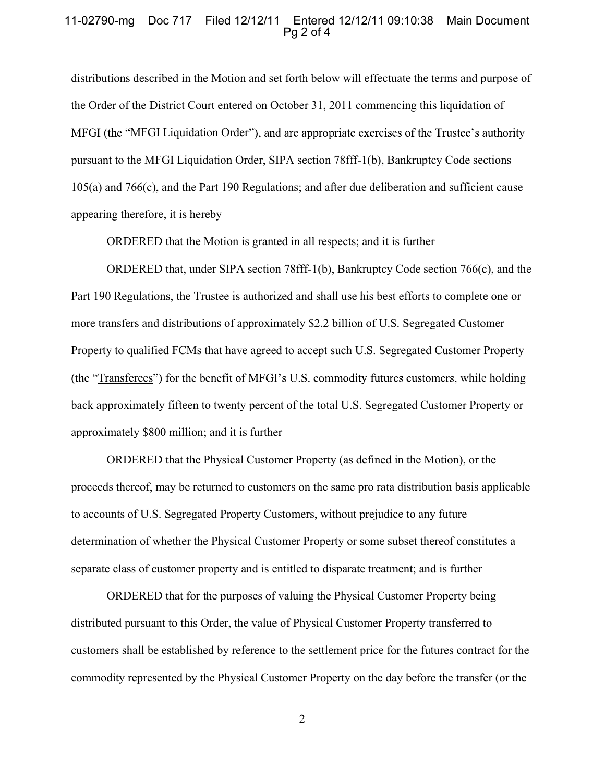### 11-02790-mg Doc 717 Filed 12/12/11 Entered 12/12/11 09:10:38 Main Document  $Pa<sub>2</sub>$  of 4

distributions described in the Motion and set forth below will effectuate the terms and purpose of the Order of the District Court entered on October 31, 2011 commencing this liquidation of MFGI (the "MFGI Liquidation Order"), and are appropriate exercises of the Trustee's authority pursuant to the MFGI Liquidation Order, SIPA section 78fff-1(b), Bankruptcy Code sections 105(a) and 766(c), and the Part 190 Regulations; and after due deliberation and sufficient cause appearing therefore, it is hereby

ORDERED that the Motion is granted in all respects; and it is further

ORDERED that, under SIPA section 78fff-1(b), Bankruptcy Code section 766(c), and the Part 190 Regulations, the Trustee is authorized and shall use his best efforts to complete one or more transfers and distributions of approximately \$2.2 billion of U.S. Segregated Customer Property to qualified FCMs that have agreed to accept such U.S. Segregated Customer Property (the "Transferees") for the benefit of MFGI's U.S. commodity futures customers, while holding back approximately fifteen to twenty percent of the total U.S. Segregated Customer Property or approximately \$800 million; and it is further

ORDERED that the Physical Customer Property (as defined in the Motion), or the proceeds thereof, may be returned to customers on the same pro rata distribution basis applicable to accounts of U.S. Segregated Property Customers, without prejudice to any future determination of whether the Physical Customer Property or some subset thereof constitutes a separate class of customer property and is entitled to disparate treatment; and is further

ORDERED that for the purposes of valuing the Physical Customer Property being distributed pursuant to this Order, the value of Physical Customer Property transferred to customers shall be established by reference to the settlement price for the futures contract for the commodity represented by the Physical Customer Property on the day before the transfer (or the

2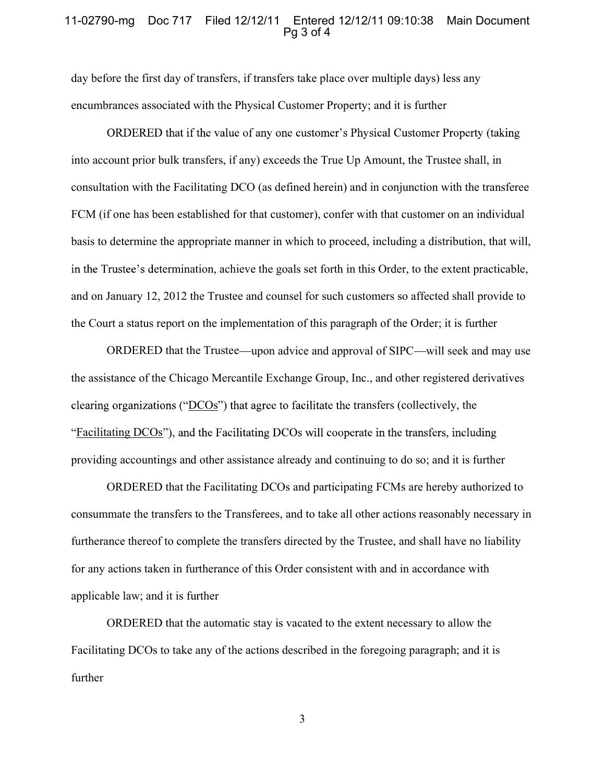### 11-02790-mg Doc 717 Filed 12/12/11 Entered 12/12/11 09:10:38 Main Document  $Pq3$  of 4

day before the first day of transfers, if transfers take place over multiple days) less any encumbrances associated with the Physical Customer Property; and it is further

ORDERED that if the value of any one customer's Physical Customer Property (taking into account prior bulk transfers, if any) exceeds the True Up Amount, the Trustee shall, in consultation with the Facilitating DCO (as defined herein) and in conjunction with the transferee FCM (if one has been established for that customer), confer with that customer on an individual basis to determine the appropriate manner in which to proceed, including a distribution, that will, in the Trustee's determination, achieve the goals set forth in this Order, to the extent practicable, and on January 12, 2012 the Trustee and counsel for such customers so affected shall provide to the Court a status report on the implementation of this paragraph of the Order; it is further

ORDERED that the Trustee—upon advice and approval of SIPC—will seek and may use the assistance of the Chicago Mercantile Exchange Group, Inc., and other registered derivatives clearing organizations ("DCOs") that agree to facilitate the transfers (collectively, the "Facilitating DCOs"), and the Facilitating DCOs will cooperate in the transfers, including providing accountings and other assistance already and continuing to do so; and it is further

ORDERED that the Facilitating DCOs and participating FCMs are hereby authorized to consummate the transfers to the Transferees, and to take all other actions reasonably necessary in furtherance thereof to complete the transfers directed by the Trustee, and shall have no liability for any actions taken in furtherance of this Order consistent with and in accordance with applicable law; and it is further

ORDERED that the automatic stay is vacated to the extent necessary to allow the Facilitating DCOs to take any of the actions described in the foregoing paragraph; and it is further

3